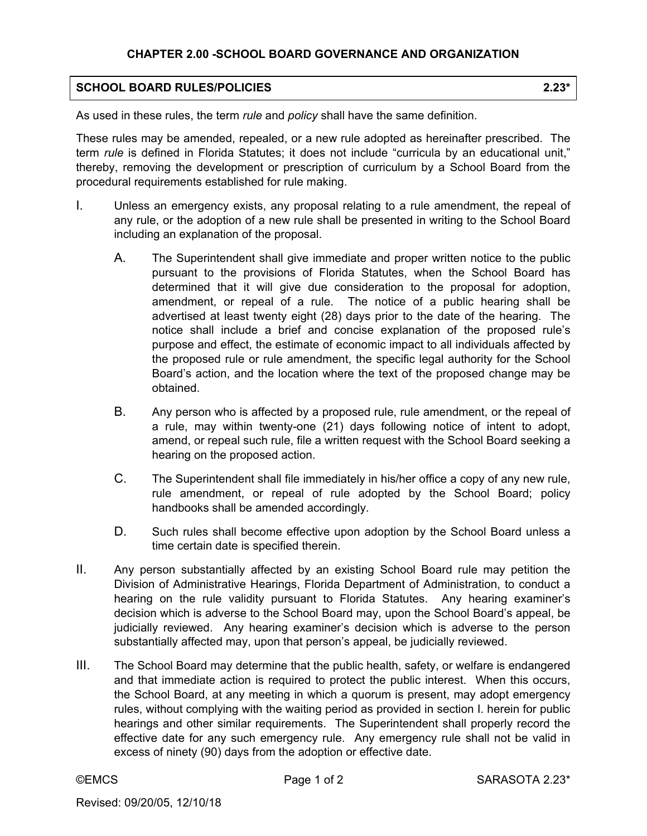## **CHAPTER 2.00 -SCHOOL BOARD GOVERNANCE AND ORGANIZATION**

## **SCHOOL BOARD RULES/POLICIES** 2.23\*

As used in these rules, the term *rule* and *policy* shall have the same definition.

These rules may be amended, repealed, or a new rule adopted as hereinafter prescribed. The term *rule* is defined in Florida Statutes; it does not include "curricula by an educational unit," thereby, removing the development or prescription of curriculum by a School Board from the procedural requirements established for rule making.

- I. Unless an emergency exists, any proposal relating to a rule amendment, the repeal of any rule, or the adoption of a new rule shall be presented in writing to the School Board including an explanation of the proposal.
	- A. The Superintendent shall give immediate and proper written notice to the public pursuant to the provisions of Florida Statutes, when the School Board has determined that it will give due consideration to the proposal for adoption, amendment, or repeal of a rule. The notice of a public hearing shall be advertised at least twenty eight (28) days prior to the date of the hearing. The notice shall include a brief and concise explanation of the proposed rule's purpose and effect, the estimate of economic impact to all individuals affected by the proposed rule or rule amendment, the specific legal authority for the School Board's action, and the location where the text of the proposed change may be obtained.
	- B. Any person who is affected by a proposed rule, rule amendment, or the repeal of a rule, may within twenty-one (21) days following notice of intent to adopt, amend, or repeal such rule, file a written request with the School Board seeking a hearing on the proposed action.
	- C. The Superintendent shall file immediately in his/her office a copy of any new rule, rule amendment, or repeal of rule adopted by the School Board; policy handbooks shall be amended accordingly.
	- D. Such rules shall become effective upon adoption by the School Board unless a time certain date is specified therein.
- II. Any person substantially affected by an existing School Board rule may petition the Division of Administrative Hearings, Florida Department of Administration, to conduct a hearing on the rule validity pursuant to Florida Statutes. Any hearing examiner's decision which is adverse to the School Board may, upon the School Board's appeal, be judicially reviewed. Any hearing examiner's decision which is adverse to the person substantially affected may, upon that person's appeal, be judicially reviewed.
- III. The School Board may determine that the public health, safety, or welfare is endangered and that immediate action is required to protect the public interest. When this occurs, the School Board, at any meeting in which a quorum is present, may adopt emergency rules, without complying with the waiting period as provided in section I. herein for public hearings and other similar requirements. The Superintendent shall properly record the effective date for any such emergency rule. Any emergency rule shall not be valid in excess of ninety (90) days from the adoption or effective date.